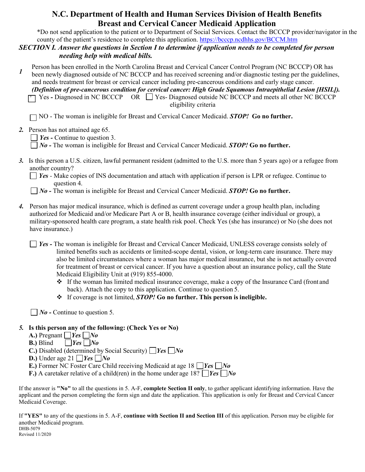## **N.C. Department of Health and Human Services Division of Health Benefits Breast and Cervical Cancer Medicaid Application**

\*Do not send application to the patient or to Department of Social Services. Contact the BCCCP provider/navigator in the county of the patient's residence to complete this application.<https://bcccp.ncdhhs.gov/BCCM.htm>

#### *SECTION I. Answer the questions in Section I to determine if application needs to be completed for person needing help with medical bills.*

Person has been enrolled in the North Carolina Breast and Cervical Cancer Control Program (NC BCCCP) OR has been newly diagnosed outside of NC BCCCP and has received screening and/or diagnostic testing per the guidelines, and needs treatment for breast or cervical cancer including pre-cancerous conditions and early stage cancer. *1*

*(Definition of pre-cancerous condition for cervical cancer: High Grade Squamous Intraepithelial Lesion [HSIL]).* Yes - Diagnosed in NC BCCCP OR  $\Box$  Yes- Diagnosed outside NC BCCCP and meets all other NC BCCCP eligibility criteria

NO - The woman is ineligible for Breast and Cervical Cancer Medicaid. *STOP!* **Go no further.**

*2.* Person has not attained age 65.

*Yes - Continue to question 3.* 

*No -* The woman is ineligible for Breast and Cervical Cancer Medicaid. *STOP!* **Go no further.**

*3.* Is this person a U.S. citizen, lawful permanent resident (admitted to the U.S. more than 5 years ago) or a refugee from another country?

*Yes -* Make copies of INS documentation and attach with application if person is LPR or refugee. Continue to question 4.

*No -* The woman is ineligible for Breast and Cervical Cancer Medicaid. *STOP!* **Go no further.**

*4.* Person has major medical insurance, which is defined as current coverage under a group health plan, including authorized for Medicaid and/or Medicare Part A or B, health insurance coverage (either individual or group), a military-sponsored health care program, a state health risk pool. Check Yes (she has insurance) or No (she does not have insurance.)

*Yes -* The woman is ineligible for Breast and Cervical Cancer Medicaid, UNLESS coverage consists solely of limited benefits such as accidents or limited-scope dental, vision, or long-term care insurance. There may also be limited circumstances where a woman has major medical insurance, but she is not actually covered for treatment of breast or cervical cancer. If you have a question about an insurance policy, call the State Medicaid Eligibility Unit at (919) 855-4000.

- If the woman has limited medical insurance coverage, make a copy of the Insurance Card (front and back). Attach the copy to this application. Continue to question 5.
- If coverage is not limited, *STOP!* **Go no further. This person is ineligible.**

 $\Box$  *No* - Continue to question 5.

## *5.* **Is this person any of the following: (Check Yes or No)**

- **A.)** Pregnant *Yes No*
- **B.**) Blind  $\bigcap Yes \bigcap No$
- **C.)** Disabled (determined by Social Security) *Yes No*
- **D.**) Under age 21  $\Box$  Yes  $\Box$  No
- **E.)** Former NC Foster Care Child receiving Medicaid at age 18 *Yes No*
- **F.)** A caretaker relative of a child(ren) in the home under age 18?  $\Box$  *Yes*  $\Box$  *No*

If the answer is **"No"** to all the questions in 5. A-F, **complete Section II only**, to gather applicant identifying information. Have the applicant and the person completing the form sign and date the application. This application is only for Breast and Cervical Cancer Medicaid Coverage.

If **"YES"** to any of the questions in 5. A-F, **continue with Section II and Section III** of this application. Person may be eligible for another Medicaid program. DHB-5079 Revised 11/2020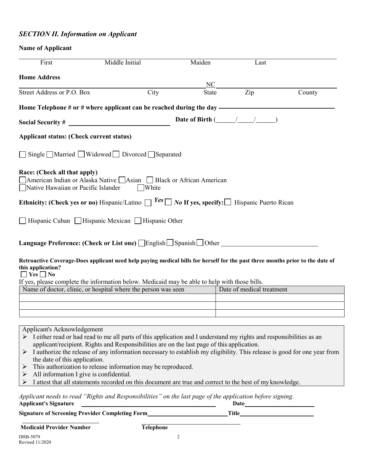# *SECTION II. Information on Applicant*

# **Name of Applicant**

| First                                                                                                                                                                                                                                                                                                                                                                         | Middle Initial                                                                                                                                                                                                                                                         | Maiden              | Last                             |        |
|-------------------------------------------------------------------------------------------------------------------------------------------------------------------------------------------------------------------------------------------------------------------------------------------------------------------------------------------------------------------------------|------------------------------------------------------------------------------------------------------------------------------------------------------------------------------------------------------------------------------------------------------------------------|---------------------|----------------------------------|--------|
| <b>Home Address</b>                                                                                                                                                                                                                                                                                                                                                           |                                                                                                                                                                                                                                                                        |                     |                                  |        |
| Street Address or P.O. Box                                                                                                                                                                                                                                                                                                                                                    | City                                                                                                                                                                                                                                                                   | NC.<br><b>State</b> | Zip                              | County |
| Home Telephone # or # where applicant can be reached during the day ———————————————————                                                                                                                                                                                                                                                                                       |                                                                                                                                                                                                                                                                        |                     |                                  |        |
|                                                                                                                                                                                                                                                                                                                                                                               |                                                                                                                                                                                                                                                                        |                     | Date of Birth $(\_\_\_\_\_\_\_\$ |        |
| <b>Applicant status: (Check current status)</b>                                                                                                                                                                                                                                                                                                                               |                                                                                                                                                                                                                                                                        |                     |                                  |        |
|                                                                                                                                                                                                                                                                                                                                                                               | Single $\Box$ Married $\Box$ Widowed $\Box$ Divorced $\Box$ Separated                                                                                                                                                                                                  |                     |                                  |        |
| Race: (Check all that apply)<br>■American Indian or Alaska Native ■Asian ■ Black or African American<br>Native Hawaiian or Pacific Islander                                                                                                                                                                                                                                   | □White                                                                                                                                                                                                                                                                 |                     |                                  |        |
| Ethnicity: (Check yes or no) Hispanic/Latino $\Box$ Yes $\Box$ No If yes, specify: $\Box$ Hispanic Puerto Rican                                                                                                                                                                                                                                                               |                                                                                                                                                                                                                                                                        |                     |                                  |        |
|                                                                                                                                                                                                                                                                                                                                                                               | Hispanic Cuban Hispanic Mexican Hispanic Other                                                                                                                                                                                                                         |                     |                                  |        |
|                                                                                                                                                                                                                                                                                                                                                                               |                                                                                                                                                                                                                                                                        |                     |                                  |        |
| Retroactive Coverage-Does applicant need help paying medical bills for herself for the past three months prior to the date of<br>this application?<br>$\Box$ Yes $\Box$ No<br>If yes, please complete the information below. Medicaid may be able to help with those bills.                                                                                                   |                                                                                                                                                                                                                                                                        |                     |                                  |        |
| Name of doctor, clinic, or hospital where the person was seen                                                                                                                                                                                                                                                                                                                 |                                                                                                                                                                                                                                                                        |                     | Date of medical treatment        |        |
|                                                                                                                                                                                                                                                                                                                                                                               |                                                                                                                                                                                                                                                                        |                     |                                  |        |
|                                                                                                                                                                                                                                                                                                                                                                               |                                                                                                                                                                                                                                                                        |                     |                                  |        |
|                                                                                                                                                                                                                                                                                                                                                                               |                                                                                                                                                                                                                                                                        |                     |                                  |        |
| Applicant's Acknowledgement<br>> I either read or had read to me all parts of this application and I understand my rights and responsibilities as an<br>> I authorize the release of any information necessary to establish my eligibility. This release is good for one year from<br>the date of this application.<br>➤<br>All information I give is confidential.<br>➤<br>➤ | applicant/recipient. Rights and Responsibilities are on the last page of this application.<br>This authorization to release information may be reproduced.<br>I attest that all statements recorded on this document are true and correct to the best of my knowledge. |                     |                                  |        |
| Applicant needs to read "Rights and Responsibilities" on the last page of the application before signing.<br><b>Applicant's Signature</b>                                                                                                                                                                                                                                     |                                                                                                                                                                                                                                                                        |                     |                                  |        |
| Signature of Screening Provider Completing Form_____________                                                                                                                                                                                                                                                                                                                  |                                                                                                                                                                                                                                                                        |                     |                                  |        |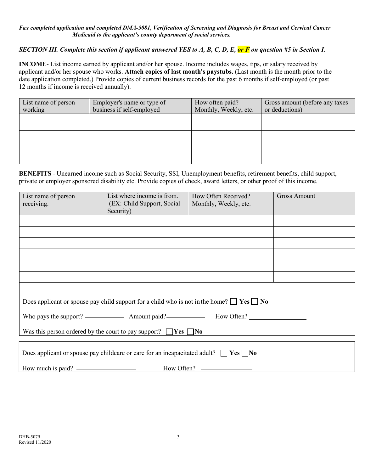#### *Fax completed application and completed DMA-5081, Verification of Screening and Diagnosis for Breast and Cervical Cancer Medicaid to the applicant's county department of social services.*

#### *SECTION III. Complete this section if applicant answered YES to A, B, C, D, E, or F on question #5 in Section I.*

**INCOME**- List income earned by applicant and/or her spouse. Income includes wages, tips, or salary received by applicant and/or her spouse who works. **Attach copies of last month's paystubs.** (Last month is the month prior to the date application completed.) Provide copies of current business records for the past 6 months if self-employed (or past 12 months if income is received annually).

| List name of person<br>working | Employer's name or type of<br>business if self-employed | How often paid?<br>Monthly, Weekly, etc. | Gross amount (before any taxes)<br>or deductions) |
|--------------------------------|---------------------------------------------------------|------------------------------------------|---------------------------------------------------|
|                                |                                                         |                                          |                                                   |
|                                |                                                         |                                          |                                                   |
|                                |                                                         |                                          |                                                   |

**BENEFITS** - Unearned income such as Social Security, SSI, Unemployment benefits, retirement benefits, child support, private or employer sponsored disability etc. Provide copies of check, award letters, or other proof of this income.

| List name of person                                                                                 | List where income is from. | How Often Received?   | <b>Gross Amount</b> |  |  |  |
|-----------------------------------------------------------------------------------------------------|----------------------------|-----------------------|---------------------|--|--|--|
| receiving.                                                                                          | (EX: Child Support, Social | Monthly, Weekly, etc. |                     |  |  |  |
|                                                                                                     | Security)                  |                       |                     |  |  |  |
|                                                                                                     |                            |                       |                     |  |  |  |
|                                                                                                     |                            |                       |                     |  |  |  |
|                                                                                                     |                            |                       |                     |  |  |  |
|                                                                                                     |                            |                       |                     |  |  |  |
|                                                                                                     |                            |                       |                     |  |  |  |
|                                                                                                     |                            |                       |                     |  |  |  |
|                                                                                                     |                            |                       |                     |  |  |  |
|                                                                                                     |                            |                       |                     |  |  |  |
| Does applicant or spouse pay child support for a child who is not in the home? $\Box$ Yes $\Box$ No |                            |                       |                     |  |  |  |
|                                                                                                     |                            |                       |                     |  |  |  |
| Was this person ordered by the court to pay support? $\Box$ Yes $\Box$ No                           |                            |                       |                     |  |  |  |
|                                                                                                     |                            |                       |                     |  |  |  |
| Does applicant or spouse pay childcare or care for an incapacitated adult? $\Box$ Yes $\Box$ No     |                            |                       |                     |  |  |  |
|                                                                                                     |                            |                       |                     |  |  |  |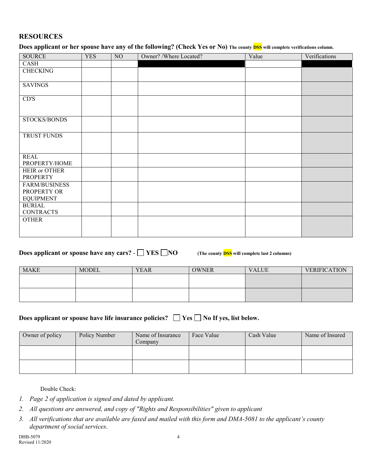#### **RESOURCES**

**Does applicant or her spouse have any of the following? (Check Yes or No) The county DSS will complete verifications column.**

| <b>SOURCE</b>                     | <b>YES</b> | N <sub>0</sub> | Owner? /Where Located? | Value | Verifications |
|-----------------------------------|------------|----------------|------------------------|-------|---------------|
| CASH                              |            |                |                        |       |               |
| <b>CHECKING</b>                   |            |                |                        |       |               |
|                                   |            |                |                        |       |               |
| <b>SAVINGS</b>                    |            |                |                        |       |               |
| CD'S                              |            |                |                        |       |               |
|                                   |            |                |                        |       |               |
| STOCKS/BONDS                      |            |                |                        |       |               |
|                                   |            |                |                        |       |               |
| TRUST FUNDS                       |            |                |                        |       |               |
|                                   |            |                |                        |       |               |
| <b>REAL</b>                       |            |                |                        |       |               |
| PROPERTY/HOME                     |            |                |                        |       |               |
| HEIR or OTHER                     |            |                |                        |       |               |
| <b>PROPERTY</b>                   |            |                |                        |       |               |
| <b>FARM/BUSINESS</b>              |            |                |                        |       |               |
| PROPERTY OR                       |            |                |                        |       |               |
| <b>EQUIPMENT</b>                  |            |                |                        |       |               |
| <b>BURIAL</b><br><b>CONTRACTS</b> |            |                |                        |       |               |
| <b>OTHER</b>                      |            |                |                        |       |               |
|                                   |            |                |                        |       |               |
|                                   |            |                |                        |       |               |

#### **Does applicant or spouse have any cars?**  $\cdot$  **YES NO** (The county **DSS** will complete last 2 columns)

| <b>MAKE</b> | <b>MODEL</b> | <b>YEAR</b> | <b>OWNER</b> | <b>VALUE</b> | <b>VERIFICATION</b> |
|-------------|--------------|-------------|--------------|--------------|---------------------|
|             |              |             |              |              |                     |
|             |              |             |              |              |                     |
|             |              |             |              |              |                     |
|             |              |             |              |              |                     |

#### **Does applicant or spouse have life insurance policies?**  $\Box$  Yes  $\Box$  No If yes, list below.

| Owner of policy | Policy Number | Name of Insurance<br>Company | Face Value | Cash Value | Name of Insured |
|-----------------|---------------|------------------------------|------------|------------|-----------------|
|                 |               |                              |            |            |                 |
|                 |               |                              |            |            |                 |

Double Check:

- *1. Page 2 of application is signed and dated by applicant.*
- *2. All questions are answered, and copy of "Rights and Responsibilities" given to applicant*
- *3. All verifications that are available are faxed and mailed with this form and DMA-5081 to the applicant's county department of social services*.